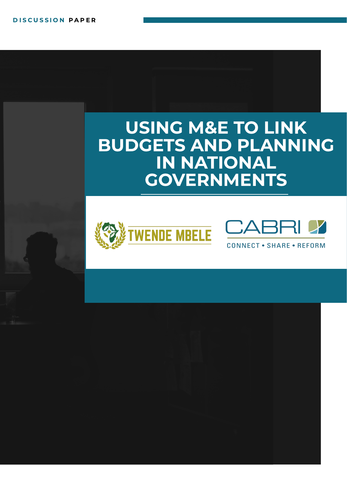# USING M&E TO LINK BUDGETS AND PLANNING IN NATIONAL GOVERNMENTS





**CONNECT • SHARE • REFORM**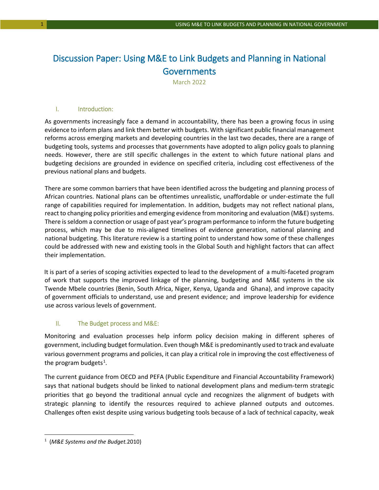# Discussion Paper: Using M&E to Link Budgets and Planning in National **Governments**

March 2022

#### I. Introduction:

As governments increasingly face a demand in accountability, there has been a growing focus in using evidence to inform plans and link them better with budgets. With significant public financial management reforms across emerging markets and developing countries in the last two decades, there are a range of budgeting tools, systems and processes that governments have adopted to align policy goals to planning needs. However, there are still specific challenges in the extent to which future national plans and budgeting decisions are grounded in evidence on specified criteria, including cost effectiveness of the previous national plans and budgets.

There are some common barriers that have been identified across the budgeting and planning process of African countries. National plans can be oftentimes unrealistic, unaffordable or under-estimate the full range of capabilities required for implementation. In addition, budgets may not reflect national plans, react to changing policy priorities and emerging evidence from monitoring and evaluation (M&E) systems. There is seldom a connection or usage of past year's program performance to inform the future budgeting process, which may be due to mis-aligned timelines of evidence generation, national planning and national budgeting. This literature review is a starting point to understand how some of these challenges could be addressed with new and existing tools in the Global South and highlight factors that can affect their implementation.

It is part of a series of scoping activities expected to lead to the development of a multi-faceted program of work that supports the improved linkage of the planning, budgeting and M&E systems in the six Twende Mbele countries (Benin, South Africa, Niger, Kenya, Uganda and Ghana), and improve capacity of government officials to understand, use and present evidence; and improve leadership for evidence use across various levels of government.

#### II. The Budget process and M&E:

Monitoring and evaluation processes help inform policy decision making in different spheres of government, including budget formulation. Even though M&E is predominantly used to track and evaluate various government programs and policies, it can play a critical role in improving the cost effectiveness of the program budgets<sup>[1](#page-1-0)</sup>.

The current guidance from OECD and PEFA (Public Expenditure and Financial Accountability Framework) says that national budgets should be linked to national development plans and medium-term strategic priorities that go beyond the traditional annual cycle and recognizes the alignment of budgets with strategic planning to identify the resources required to achieve planned outputs and outcomes. Challenges often exist despite using various budgeting tools because of a lack of technical capacity, weak

<span id="page-1-0"></span><sup>1</sup> (*M&E Systems and the Budget.*2010)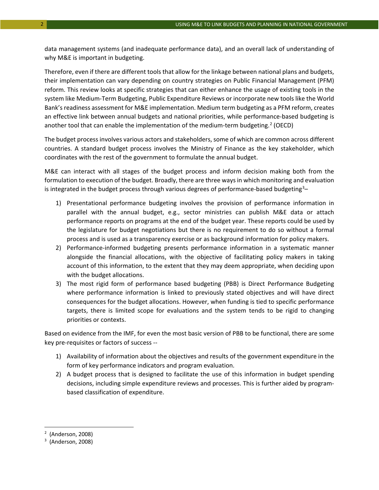data management systems (and inadequate performance data), and an overall lack of understanding of why M&E is important in budgeting.

Therefore, even if there are different tools that allow for the linkage between national plans and budgets, their implementation can vary depending on country strategies on Public Financial Management (PFM) reform. This review looks at specific strategies that can either enhance the usage of existing tools in the system like Medium-Term Budgeting, Public Expenditure Reviews or incorporate new tools like the World Bank's readiness assessment for M&E implementation. Medium term budgeting as a PFM reform, creates an effective link between annual budgets and national priorities, while performance-based budgeting is another tool that can enable the implementation of the medium-term budgeting.<sup>[2](#page-2-0)</sup> (OECD)

The budget process involves various actors and stakeholders, some of which are common across different countries. A standard budget process involves the Ministry of Finance as the key stakeholder, which coordinates with the rest of the government to formulate the annual budget.

M&E can interact with all stages of the budget process and inform decision making both from the formulation to execution of the budget. Broadly, there are three ways in which monitoring and evaluation is integrated in the budget process through various degrees of performance-based budgeting<sup>[3](#page-2-1)</sup>-

- 1) Presentational performance budgeting involves the provision of performance information in parallel with the annual budget, e.g., sector ministries can publish M&E data or attach performance reports on programs at the end of the budget year. These reports could be used by the legislature for budget negotiations but there is no requirement to do so without a formal process and is used as a transparency exercise or as background information for policy makers.
- 2) Performance-informed budgeting presents performance information in a systematic manner alongside the financial allocations, with the objective of facilitating policy makers in taking account of this information, to the extent that they may deem appropriate, when deciding upon with the budget allocations.
- 3) The most rigid form of performance based budgeting (PBB) is Direct Performance Budgeting where performance information is linked to previously stated objectives and will have direct consequences for the budget allocations. However, when funding is tied to specific performance targets, there is limited scope for evaluations and the system tends to be rigid to changing priorities or contexts.

Based on evidence from the IMF, for even the most basic version of PBB to be functional, there are some key pre-requisites or factors of success --

- 1) Availability of information about the objectives and results of the government expenditure in the form of key performance indicators and program evaluation.
- 2) A budget process that is designed to facilitate the use of this information in budget spending decisions, including simple expenditure reviews and processes. This is further aided by programbased classification of expenditure.

 $\overline{a}$ 

<span id="page-2-0"></span><sup>2</sup> (Anderson, 2008)

<span id="page-2-1"></span><sup>&</sup>lt;sup>3</sup> (Anderson, 2008)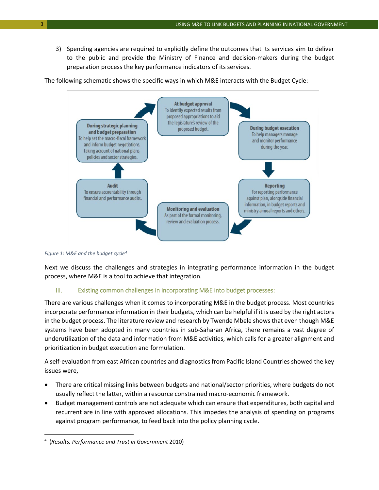3) Spending agencies are required to explicitly define the outcomes that its services aim to deliver to the public and provide the Ministry of Finance and decision-makers during the budget preparation process the key performance indicators of its services.

The following schematic shows the specific ways in which M&E interacts with the Budget Cycle:



*Figure 1: M&E and the budget cycle[4](#page-3-0)*

Next we discuss the challenges and strategies in integrating performance information in the budget process, where M&E is a tool to achieve that integration.

# III. Existing common challenges in incorporating M&E into budget processes:

There are various challenges when it comes to incorporating M&E in the budget process. Most countries incorporate performance information in their budgets, which can be helpful if it is used by the right actors in the budget process. The literature review and research by Twende Mbele shows that even though M&E systems have been adopted in many countries in sub-Saharan Africa, there remains a vast degree of underutilization of the data and information from M&E activities, which calls for a greater alignment and prioritization in budget execution and formulation.

A self-evaluation from east African countries and diagnostics from Pacific Island Countries showed the key issues were,

- There are critical missing links between budgets and national/sector priorities, where budgets do not usually reflect the latter, within a resource constrained macro-economic framework.
- Budget management controls are not adequate which can ensure that expenditures, both capital and recurrent are in line with approved allocations. This impedes the analysis of spending on programs against program performance, to feed back into the policy planning cycle.

<span id="page-3-0"></span><sup>4</sup> (*Results, Performance and Trust in Government* 2010)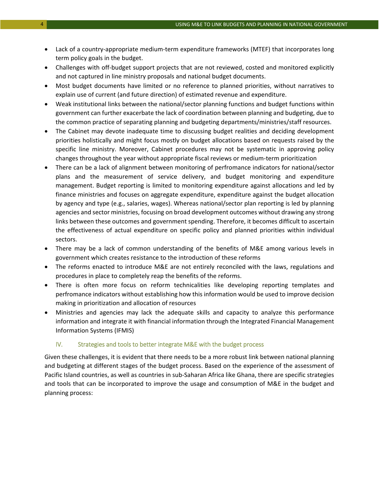- Lack of a country-appropriate medium-term expenditure frameworks (MTEF) that incorporates long term policy goals in the budget.
- Challenges with off-budget support projects that are not reviewed, costed and monitored explicitly and not captured in line ministry proposals and national budget documents.
- Most budget documents have limited or no reference to planned priorities, without narratives to explain use of current (and future direction) of estimated revenue and expenditure.
- Weak institutional links between the national/sector planning functions and budget functions within government can further exacerbate the lack of coordination between planning and budgeting, due to the common practice of separating planning and budgeting departments/ministries/staff resources.
- The Cabinet may devote inadequate time to discussing budget realities and deciding development priorities holistically and might focus mostly on budget allocations based on requests raised by the specific line ministry. Moreover, Cabinet procedures may not be systematic in approving policy changes throughout the year without appropriate fiscal reviews or medium-term prioritization
- There can be a lack of alignment between monitoring of perfromance indicators for national/sector plans and the measurement of service delivery, and budget monitoring and expenditure management. Budget reporting is limited to monitoring expenditure against allocations and led by finance ministries and focuses on aggregate expenditure, expenditure against the budget allocation by agency and type (e.g., salaries, wages). Whereas national/sector plan reporting is led by planning agencies and sector ministries, focusing on broad development outcomes without drawing any strong links between these outcomes and government spending. Therefore, it becomes difficult to ascertain the effectiveness of actual expenditure on specific policy and planned priorities within individual sectors.
- There may be a lack of common understanding of the benefits of M&E among various levels in government which creates resistance to the introduction of these reforms
- The reforms enacted to introduce M&E are not entirely reconciled with the laws, regulations and procedures in place to completely reap the benefits of the reforms.
- There is often more focus on reform technicalities like developing reporting templates and perfromance indicators without establishing how this information would be used to improve decision making in prioritization and allocation of resources
- Ministries and agencies may lack the adequate skills and capacity to analyze this performance information and integrate it with financial information through the Integrated Financial Management Information Systems (IFMIS)

#### IV. Strategies and tools to better integrate M&E with the budget process

Given these challenges, it is evident that there needs to be a more robust link between national planning and budgeting at different stages of the budget process. Based on the experience of the assessment of Pacific Island countries, as well as countries in sub-Saharan Africa like Ghana, there are specific strategies and tools that can be incorporated to improve the usage and consumption of M&E in the budget and planning process: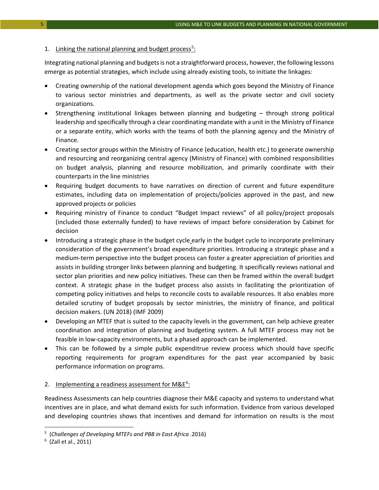#### 1. Linking the national planning and budget process<sup>[5](#page-5-0)</sup>:

Integrating national planning and budgets is not a straightforward process, however, the following lessons emerge as potential strategies, which include using already existing tools, to initiate the linkages:

- Creating ownership of the national development agenda which goes beyond the Ministry of Finance to various sector ministries and departments, as well as the private sector and civil society organizations.
- Strengthening institutional linkages between planning and budgeting through strong political leadership and specifically through a clear coordinating mandate with a unit in the Ministry of Finance or a separate entity, which works with the teams of both the planning agency and the Ministry of Finance.
- Creating sector groups within the Ministry of Finance (education, health etc.) to generate ownership and resourcing and reorganizing central agency (Ministry of Finance) with combined responsibilities on budget analysis, planning and resource mobilization, and primarily coordinate with their counterparts in the line ministries
- Requiring budget documents to have narratives on direction of current and future expenditure estimates, including data on implementation of projects/policies approved in the past, and new approved projects or policies
- Requiring ministry of Finance to conduct "Budget Impact reviews" of all policy/project proposals (included those externally funded) to have reviews of impact before consideration by Cabinet for decision
- Introducing a strategic phase in the budget cycle early in the budget cycle to incorporate preliminary consideration of the government's broad expenditure priorities. Introducing a strategic phase and a medium-term perspective into the budget process can foster a greater appreciation of priorities and assists in building stronger links between planning and budgeting. It specifically reviews national and sector plan priorities and new policy initiatives. These can then be framed within the overall budget context. A strategic phase in the budget process also assists in facilitating the prioritization of competing policy initiatives and helps to reconcile costs to available resources. It also enables more detailed scrutiny of budget proposals by sector ministries, the ministry of finance, and political decision makers. (UN 2018) (IMF 2009)
- Developing an MTEF that is suited to the capacity levels in the government, can help achieve greater coordination and integration of planning and budgeting system. A full MTEF process may not be feasible in low-capacity environments, but a phased approach can be implemented.
- This can be followed by a simple public expenditrue review process which should have specific reporting requirements for program expenditures for the past year accompanied by basic performance information on programs.

#### 2. Implementing a readiness assessment for M&E<sup>[6](#page-5-1)</sup>:

Readiness Assessments can help countries diagnose their M&E capacity and systems to understand what incentives are in place, and what demand exists for such information. Evidence from various developed and developing countries shows that incentives and demand for information on results is the most

 $\overline{a}$ 

<span id="page-5-0"></span><sup>5</sup> (*Challenges of Developing MTEFs and PBB in East Africa .*2016)

<span id="page-5-1"></span><sup>6</sup> (Zall et al., 2011)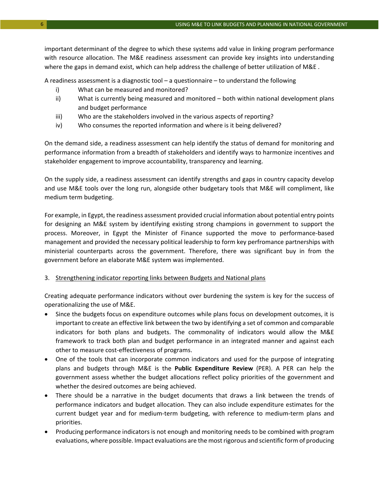important determinant of the degree to which these systems add value in linking program performance with resource allocation. The M&E readiness assessment can provide key insights into understanding where the gaps in demand exist, which can help address the challenge of better utilization of M&E .

A readiness assessment is a diagnostic tool – a questionnaire – to understand the following

- i) What can be measured and monitored?
- ii) What is currently being measured and monitored both within national development plans and budget performance
- iii) Who are the stakeholders involved in the various aspects of reporting?
- iv) Who consumes the reported information and where is it being delivered?

On the demand side, a readiness assessment can help identify the status of demand for monitoring and performance information from a breadth of stakeholders and identify ways to harmonize incentives and stakeholder engagement to improve accountability, transparency and learning.

On the supply side, a readiness assessment can identify strengths and gaps in country capacity develop and use M&E tools over the long run, alongside other budgetary tools that M&E will compliment, like medium term budgeting.

For example, in Egypt, the readiness assessment provided crucial information about potential entry points for designing an M&E system by identifying existing strong champions in government to support the process. Moreover, in Egypt the Minister of Finance supported the move to performance-based management and provided the necessary political leadership to form key perfromance partnerships with ministerial counterparts across the government. Therefore, there was significant buy in from the government before an elaborate M&E system was implemented.

# 3. Strengthening indicator reporting links between Budgets and National plans

Creating adequate performance indicators without over burdening the system is key for the success of operationalizing the use of M&E.

- Since the budgets focus on expenditure outcomes while plans focus on development outcomes, it is important to create an effective link between the two by identifying a set of common and comparable indicators for both plans and budgets. The commonality of indicators would allow the M&E framework to track both plan and budget performance in an integrated manner and against each other to measure cost-effectiveness of programs.
- One of the tools that can incorporate common indicators and used for the purpose of integrating plans and budgets through M&E is the **Public Expenditure Review** (PER). A PER can help the government assess whether the budget allocations reflect policy priorities of the government and whether the desired outcomes are being achieved.
- There should be a narrative in the budget documents that draws a link between the trends of performance indicators and budget allocation. They can also include expenditure estimates for the current budget year and for medium-term budgeting, with reference to medium-term plans and priorities.
- Producing performance indicators is not enough and monitoring needs to be combined with program evaluations, where possible. Impact evaluations are the most rigorous and scientific form of producing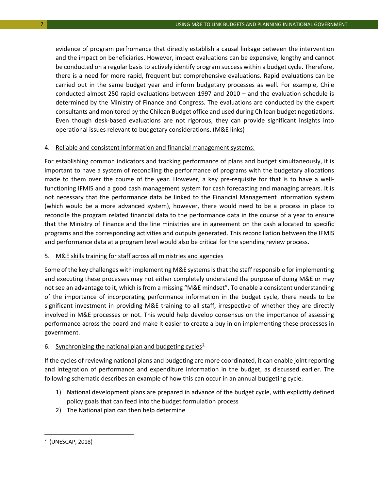evidence of program perfromance that directly establish a causal linkage between the intervention and the impact on beneficiaries. However, impact evaluations can be expensive, lengthy and cannot be conducted on a regular basis to actively identify program success within a budget cycle. Therefore, there is a need for more rapid, frequent but comprehensive evaluations. Rapid evaluations can be carried out in the same budget year and inform budgetary processes as well. For example, Chile conducted almost 250 rapid evaluations between 1997 and 2010 – and the evaluation schedule is determined by the Ministry of Finance and Congress. The evaluations are conducted by the expert consultants and monitored by the Chilean Budget office and used during Chilean budget negotiations. Even though desk-based evaluations are not rigorous, they can provide significant insights into operational issues relevant to budgetary considerations. (M&E links)

#### 4. Reliable and consistent information and financial management systems:

For establishing common indicators and tracking performance of plans and budget simultaneously, it is important to have a system of reconciling the performance of programs with the budgetary allocations made to them over the course of the year. However, a key pre-requisite for that is to have a wellfunctioning IFMIS and a good cash management system for cash forecasting and managing arrears. It is not necessary that the performance data be linked to the Financial Management Information system (which would be a more advanced system), however, there would need to be a process in place to reconcile the program related financial data to the performance data in the course of a year to ensure that the Ministry of Finance and the line ministries are in agreement on the cash allocated to specific programs and the corresponding activities and outputs generated. This reconciliation between the IFMIS and performance data at a program level would also be critical for the spending review process.

# 5. M&E skills training for staff across all ministries and agencies

Some of the key challenges with implementing M&E systems is that the staff responsible for implementing and executing these processes may not either completely understand the purpose of doing M&E or may not see an advantage to it, which is from a missing "M&E mindset". To enable a consistent understanding of the importance of incorporating performance information in the budget cycle, there needs to be significant investment in providing M&E training to all staff, irrespective of whether they are directly involved in M&E processes or not. This would help develop consensus on the importance of assessing performance across the board and make it easier to create a buy in on implementing these processes in government.

# 6. Synchronizing the national plan and budgeting cycles<sup>2</sup>

If the cycles of reviewing national plans and budgeting are more coordinated, it can enable joint reporting and integration of performance and expenditure information in the budget, as discussed earlier. The following schematic describes an example of how this can occur in an annual budgeting cycle.

- 1) National development plans are prepared in advance of the budget cycle, with explicitly defined policy goals that can feed into the budget formulation process
- 2) The National plan can then help determine

<span id="page-7-0"></span><sup>7</sup> (UNESCAP, 2018)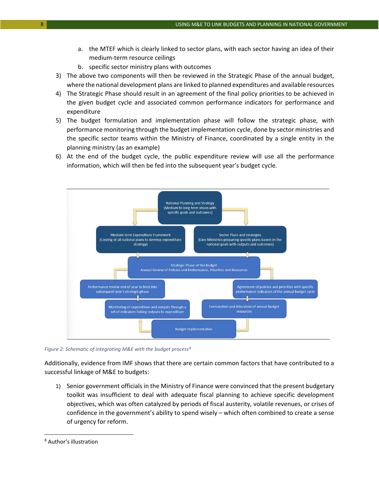- a. the MTEF which is clearly linked to sector plans, with each sector having an idea of their medium-term resource ceilings
- b. specific sector ministry plans with outcomes
- 3) The above two components will then be reviewed in the Strategic Phase of the annual budget, where the national development plans are linked to planned expenditures and available resources
- 4) The Strategic Phase should result in an agreement of the final policy priorities to be achieved in the given budget cycle and associated common performance indicators for performance and expenditure
- 5) The budget formulation and implementation phase will follow the strategic phase, with performance monitoring through the budget implementation cycle, done by sector ministries and the specific sector teams within the Ministry of Finance, coordinated by a single entity in the planning ministry (as an example)
- 6) At the end of the budget cycle, the public expenditure review will use all the performance information, which will then be fed into the subsequent year's budget cycle.



*Figure 2: Schematic of integrating M&E with the budget process[8](#page-8-0)*

Additionally, evidence from IMF shows that there are certain common factors that have contributed to a successful linkage of M&E to budgets:

1) Senior government officials in the Ministry of Finance were convinced that the present budgetary toolkit was insufficient to deal with adequate fiscal planning to achieve specific development objectives, which was often catalyzed by periods of fiscal austerity, volatile revenues, or crises of confidence in the government's ability to spend wisely – which often combined to create a sense of urgency for reform.

<span id="page-8-0"></span><sup>8</sup> Author's illustration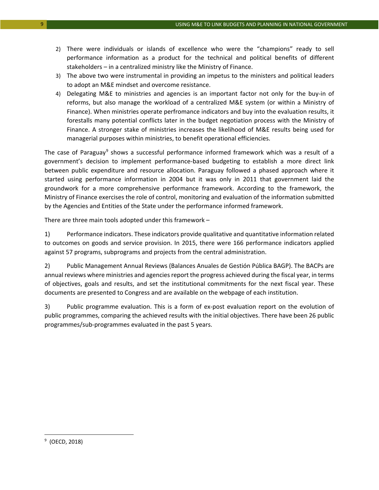- 2) There were individuals or islands of excellence who were the "champions" ready to sell performance information as a product for the technical and political benefits of different stakeholders – in a centralized ministry like the Ministry of Finance.
- 3) The above two were instrumental in providing an impetus to the ministers and political leaders to adopt an M&E mindset and overcome resistance.
- 4) Delegating M&E to ministries and agencies is an important factor not only for the buy-in of reforms, but also manage the workload of a centralized M&E system (or within a Ministry of Finance). When ministries operate perfromance indicators and buy into the evaluation results, it forestalls many potential conflicts later in the budget negotiation process with the Ministry of Finance. A stronger stake of ministries increases the likelihood of M&E results being used for managerial purposes within ministries, to benefit operational efficiencies.

The case of Paraguay<sup>[9](#page-9-0)</sup> shows a successful performance informed framework which was a result of a government's decision to implement performance-based budgeting to establish a more direct link between public expenditure and resource allocation. Paraguay followed a phased approach where it started using performance information in 2004 but it was only in 2011 that government laid the groundwork for a more comprehensive performance framework. According to the framework, the Ministry of Finance exercises the role of control, monitoring and evaluation of the information submitted by the Agencies and Entities of the State under the performance informed framework.

There are three main tools adopted under this framework –

1) Performance indicators. These indicators provide qualitative and quantitative information related to outcomes on goods and service provision. In 2015, there were 166 performance indicators applied against 57 programs, subprograms and projects from the central administration.

2) Public Management Annual Reviews (Balances Anuales de Gestión Pública BAGP). The BACPs are annual reviews where ministries and agencies report the progress achieved during the fiscal year, in terms of objectives, goals and results, and set the institutional commitments for the next fiscal year. These documents are presented to Congress and are available on the webpage of each institution.

3) Public programme evaluation. This is a form of ex-post evaluation report on the evolution of public programmes, comparing the achieved results with the initial objectives. There have been 26 public programmes/sub-programmes evaluated in the past 5 years.

<span id="page-9-0"></span><sup>9</sup> (OECD, 2018)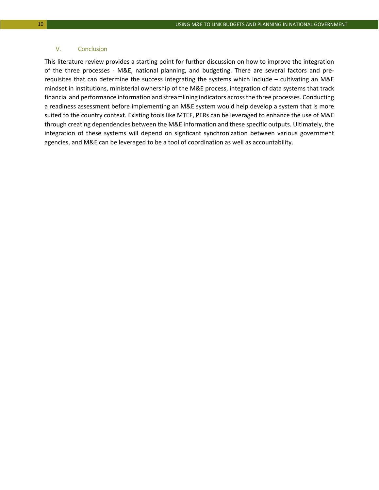#### V. Conclusion

This literature review provides a starting point for further discussion on how to improve the integration of the three processes - M&E, national planning, and budgeting. There are several factors and prerequisites that can determine the success integrating the systems which include – cultivating an M&E mindset in institutions, ministerial ownership of the M&E process, integration of data systems that track financial and performance information and streamlining indicators across the three processes. Conducting a readiness assessment before implementing an M&E system would help develop a system that is more suited to the country context. Existing tools like MTEF, PERs can be leveraged to enhance the use of M&E through creating dependencies between the M&E information and these specific outputs. Ultimately, the integration of these systems will depend on signficant synchronization between various government agencies, and M&E can be leveraged to be a tool of coordination as well as accountability.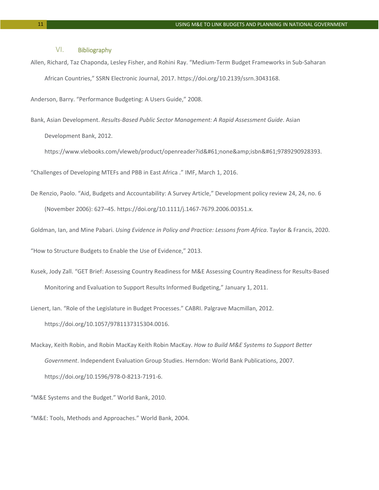#### VI. Bibliography

Allen, Richard, Taz Chaponda, Lesley Fisher, and Rohini Ray. "Medium-Term Budget Frameworks in Sub-Saharan African Countries," SSRN Electronic Journal, 2017. https://doi.org/10.2139/ssrn.3043168.

Anderson, Barry. "Performance Budgeting: A Users Guide," 2008.

Bank, Asian Development. *Results-Based Public Sector Management: A Rapid Assessment Guide*. Asian Development Bank, 2012.

https://www.vlebooks.com/vleweb/product/openreader?id=none&isbn=9789290928393.

"Challenges of Developing MTEFs and PBB in East Africa ." IMF, March 1, 2016.

De Renzio, Paolo. "Aid, Budgets and Accountability: A Survey Article," Development policy review 24, 24, no. 6 (November 2006): 627–45. https://doi.org/10.1111/j.1467-7679.2006.00351.x.

Goldman, Ian, and Mine Pabari. *Using Evidence in Policy and Practice: Lessons from Africa*. Taylor & Francis, 2020.

"How to Structure Budgets to Enable the Use of Evidence," 2013.

Kusek, Jody Zall. "GET Brief: Assessing Country Readiness for M&E Assessing Country Readiness for Results-Based Monitoring and Evaluation to Support Results Informed Budgeting," January 1, 2011.

Lienert, Ian. "Role of the Legislature in Budget Processes." CABRI. Palgrave Macmillan, 2012.

https://doi.org/10.1057/9781137315304.0016.

Mackay, Keith Robin, and Robin MacKay Keith Robin MacKay. *How to Build M&E Systems to Support Better Government*. Independent Evaluation Group Studies. Herndon: World Bank Publications, 2007. https://doi.org/10.1596/978-0-8213-7191-6.

"M&E Systems and the Budget." World Bank, 2010.

"M&E: Tools, Methods and Approaches." World Bank, 2004.